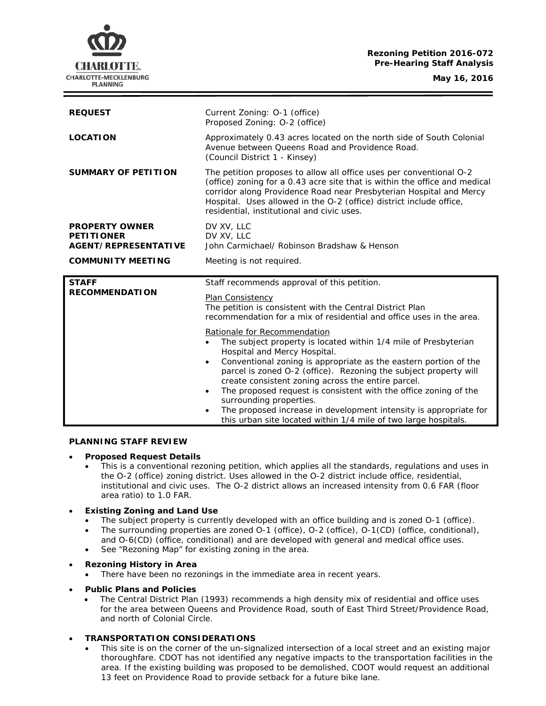# **Rezoning Petition 2016-072 Pre-Hearing Staff Analysis**

**May 16, 2016**



| <b>REQUEST</b>                                                            | Current Zoning: 0-1 (office)<br>Proposed Zoning: O-2 (office)                                                                                                                                                                                                                                                                                 |
|---------------------------------------------------------------------------|-----------------------------------------------------------------------------------------------------------------------------------------------------------------------------------------------------------------------------------------------------------------------------------------------------------------------------------------------|
| <b>LOCATION</b>                                                           | Approximately 0.43 acres located on the north side of South Colonial<br>Avenue between Queens Road and Providence Road.<br>(Council District 1 - Kinsey)                                                                                                                                                                                      |
| <b>SUMMARY OF PETITION</b>                                                | The petition proposes to allow all office uses per conventional O-2<br>(office) zoning for a 0.43 acre site that is within the office and medical<br>corridor along Providence Road near Presbyterian Hospital and Mercy<br>Hospital. Uses allowed in the O-2 (office) district include office,<br>residential, institutional and civic uses. |
| <b>PROPERTY OWNER</b><br><b>PETITIONER</b><br><b>AGENT/REPRESENTATIVE</b> | DV XV, LLC<br>DV XV, LLC<br>John Carmichael/ Robinson Bradshaw & Henson                                                                                                                                                                                                                                                                       |
| <b>COMMUNITY MEETING</b>                                                  | Meeting is not required.                                                                                                                                                                                                                                                                                                                      |
| <b>STAFF</b>                                                              | Staff recommends approval of this petition.                                                                                                                                                                                                                                                                                                   |
| <b>RECOMMENDATION</b>                                                     | Plan Consistency<br>The petition is consistent with the Central District Plan<br>recommendation for a mix of residential and office uses in the area.                                                                                                                                                                                         |
|                                                                           | Rationale for Recommendation<br>The subject property is located within 1/4 mile of Presbyterian<br>$\bullet$<br>Hospital and Mercy Hospital.<br>Conventional zoning is appropriate as the eastern portion of the<br>$\bullet$                                                                                                                 |
|                                                                           | parcel is zoned O-2 (office). Rezoning the subject property will<br>create consistent zoning across the entire parcel.                                                                                                                                                                                                                        |
|                                                                           | The proposed request is consistent with the office zoning of the<br>$\bullet$<br>surrounding properties.<br>The proposed increase in development intensity is appropriate for<br>$\bullet$<br>this urban site located within 1/4 mile of two large hospitals.                                                                                 |

## **PLANNING STAFF REVIEW**

#### • **Proposed Request Details**

- This is a conventional rezoning petition, which applies all the standards, regulations and uses in the O-2 (office) zoning district. Uses allowed in the O-2 district include office, residential, institutional and civic uses. The O-2 district allows an increased intensity from 0.6 FAR (floor area ratio) to 1.0 FAR.
- **Existing Zoning and Land Use**
	- The subject property is currently developed with an office building and is zoned O-1 (office).
	- The surrounding properties are zoned O-1 (office), O-2 (office), O-1(CD) (office, conditional), and O-6(CD) (office, conditional) and are developed with general and medical office uses.
	- See "Rezoning Map" for existing zoning in the area.

### • **Rezoning History in Area**

- There have been no rezonings in the immediate area in recent years.
- **Public Plans and Policies**
	- The *Central District Plan* (1993) recommends a high density mix of residential and office uses for the area between Queens and Providence Road, south of East Third Street/Providence Road, and north of Colonial Circle.

### • **TRANSPORTATION CONSIDERATIONS**

This site is on the corner of the un-signalized intersection of a local street and an existing major thoroughfare. CDOT has not identified any negative impacts to the transportation facilities in the area. If the existing building was proposed to be demolished, CDOT would request an additional 13 feet on Providence Road to provide setback for a future bike lane.